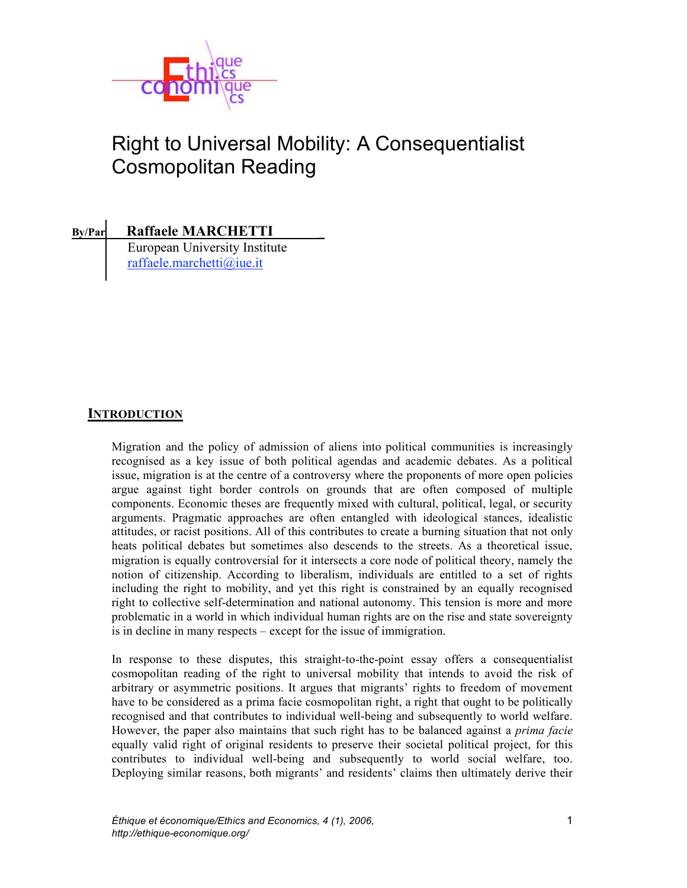

# Right to Universal Mobility: A Consequentialist Cosmopolitan Reading

**By/Par Raffaele MARCHETTI \_** European University Institute raffaele.marchetti@iue.it

# **INTRODUCTION**

Migration and the policy of admission of aliens into political communities is increasingly recognised as a key issue of both political agendas and academic debates. As a political issue, migration is at the centre of a controversy where the proponents of more open policies argue against tight border controls on grounds that are often composed of multiple components. Economic theses are frequently mixed with cultural, political, legal, or security arguments. Pragmatic approaches are often entangled with ideological stances, idealistic attitudes, or racist positions. All of this contributes to create a burning situation that not only heats political debates but sometimes also descends to the streets. As a theoretical issue, migration is equally controversial for it intersects a core node of political theory, namely the notion of citizenship. According to liberalism, individuals are entitled to a set of rights including the right to mobility, and yet this right is constrained by an equally recognised right to collective self-determination and national autonomy. This tension is more and more problematic in a world in which individual human rights are on the rise and state sovereignty is in decline in many respects – except for the issue of immigration.

In response to these disputes, this straight-to-the-point essay offers a consequentialist cosmopolitan reading of the right to universal mobility that intends to avoid the risk of arbitrary or asymmetric positions. It argues that migrants' rights to freedom of movement have to be considered as a prima facie cosmopolitan right, a right that ought to be politically recognised and that contributes to individual well-being and subsequently to world welfare. However, the paper also maintains that such right has to be balanced against a *prima facie*  equally valid right of original residents to preserve their societal political project, for this contributes to individual well-being and subsequently to world social welfare, too. Deploying similar reasons, both migrants' and residents' claims then ultimately derive their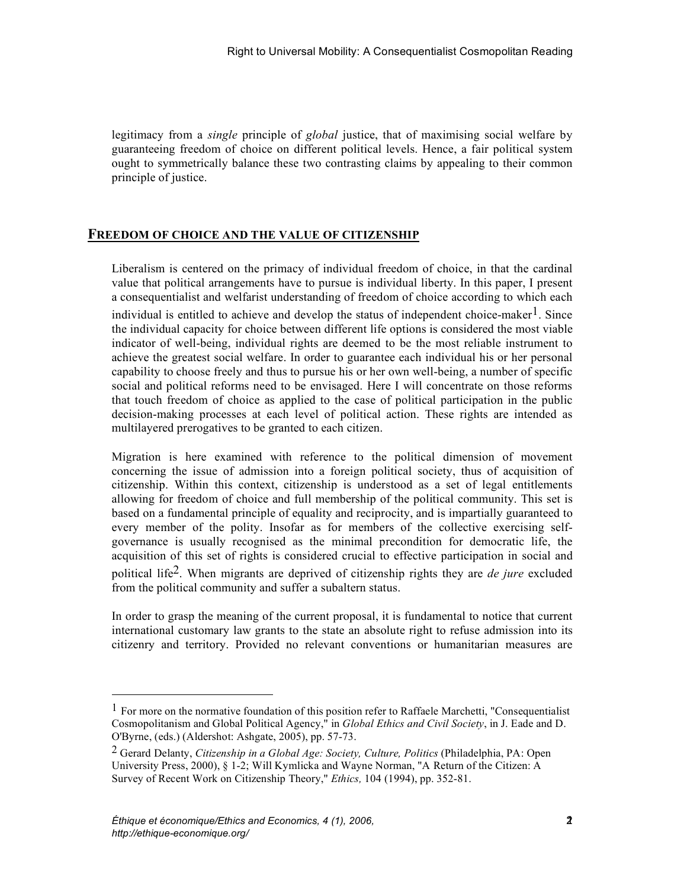guaranteeing freedom of choice on different political levels. Hence, a fair political system ought to symmetrically balance these two contrasting claims by appealing to their common principle of justice.

### **FREEDOM OF CHOICE AND THE VALUE OF CITIZENSHIP**

(egitimacy from a *single* principle of *global* isstice, that of maximising social welfare by the single principle of *global* isstemation of the carrieral properties of *global* issues the control of the carrieral proper Liberalism is centered on the primacy of individual freedom of choice, in that the cardinal value that political arrangements have to pursue is individual liberty. In this paper, I present a consequentialist and welfarist understanding of freedom of choice according to which each individual is entitled to achieve and develop the status of independent choice-maker<sup>1</sup>. Since the individual capacity for choice between different life options is considered the most viable indicator of well-being, individual rights are deemed to be the most reliable instrument to achieve the greatest social welfare. In order to guarantee each individual his or her personal capability to choose freely and thus to pursue his or her own well-being, a number of specific social and political reforms need to be envisaged. Here I will concentrate on those reforms that touch freedom of choice as applied to the case of political participation in the public decision-making processes at each level of political action. These rights are intended as multilayered prerogatives to be granted to each citizen.

Migration is here examined with reference to the political dimension of movement concerning the issue of admission into a foreign political society, thus of acquisition of citizenship. Within this context, citizenship is understood as a set of legal entitlements allowing for freedom of choice and full membership of the political community. This set is based on a fundamental principle of equality and reciprocity, and is impartially guaranteed to every member of the polity. Insofar as for members of the collective exercising selfgovernance is usually recognised as the minimal precondition for democratic life, the acquisition of this set of rights is considered crucial to effective participation in social and political life2. When migrants are deprived of citizenship rights they are *de jure* excluded from the political community and suffer a subaltern status.

In order to grasp the meaning of the current proposal, it is fundamental to notice that current international customary law grants to the state an absolute right to refuse admission into its citizenry and territory. Provided no relevant conventions or humanitarian measures are

l

 $<sup>1</sup>$  For more on the normative foundation of this position refer to Raffaele Marchetti, "Consequentialist"</sup> Cosmopolitanism and Global Political Agency," in *Global Ethics and Civil Society*, in J. Eade and D. O'Byrne, (eds.) (Aldershot: Ashgate, 2005), pp. 57-73.

<sup>2</sup> Gerard Delanty, *Citizenship in a Global Age: Society, Culture, Politics* (Philadelphia, PA: Open University Press, 2000), § 1-2; Will Kymlicka and Wayne Norman, "A Return of the Citizen: A Survey of Recent Work on Citizenship Theory," *Ethics,* 104 (1994), pp. 352-81.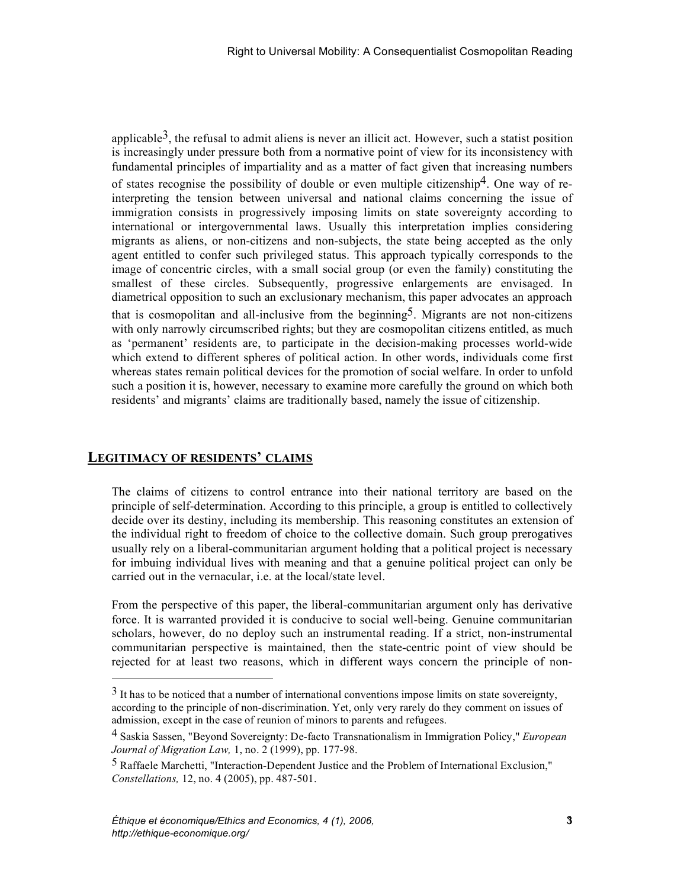applicables<sup>3</sup>, the crisial in a dmit aliens is never an illicit act. However, such a statist position in the admit aliens in the statistic position in the admit aliens in the statistic position of the statistic actual pr is increasingly under pressure both from a normative point of view for its inconsistency with fundamental principles of impartiality and as a matter of fact given that increasing numbers of states recognise the possibility of double or even multiple citizenship<sup>4</sup>. One way of reinterpreting the tension between universal and national claims concerning the issue of immigration consists in progressively imposing limits on state sovereignty according to international or intergovernmental laws. Usually this interpretation implies considering migrants as aliens, or non-citizens and non-subjects, the state being accepted as the only agent entitled to confer such privileged status. This approach typically corresponds to the image of concentric circles, with a small social group (or even the family) constituting the smallest of these circles. Subsequently, progressive enlargements are envisaged. In diametrical opposition to such an exclusionary mechanism, this paper advocates an approach that is cosmopolitan and all-inclusive from the beginning<sup>5</sup>. Migrants are not non-citizens with only narrowly circumscribed rights; but they are cosmopolitan citizens entitled, as much as 'permanent' residents are, to participate in the decision-making processes world-wide which extend to different spheres of political action. In other words, individuals come first whereas states remain political devices for the promotion of social welfare. In order to unfold such a position it is, however, necessary to examine more carefully the ground on which both residents' and migrants' claims are traditionally based, namely the issue of citizenship.

## **LEGITIMACY OF RESIDENTS' CLAIMS**

 $\overline{a}$ 

The claims of citizens to control entrance into their national territory are based on the principle of self-determination. According to this principle, a group is entitled to collectively decide over its destiny, including its membership. This reasoning constitutes an extension of the individual right to freedom of choice to the collective domain. Such group prerogatives usually rely on a liberal-communitarian argument holding that a political project is necessary for imbuing individual lives with meaning and that a genuine political project can only be carried out in the vernacular, i.e. at the local/state level.

From the perspective of this paper, the liberal-communitarian argument only has derivative force. It is warranted provided it is conducive to social well-being. Genuine communitarian scholars, however, do no deploy such an instrumental reading. If a strict, non-instrumental communitarian perspective is maintained, then the state-centric point of view should be rejected for at least two reasons, which in different ways concern the principle of non-

 $3$  It has to be noticed that a number of international conventions impose limits on state sovereignty, according to the principle of non-discrimination. Yet, only very rarely do they comment on issues of admission, except in the case of reunion of minors to parents and refugees.

<sup>4</sup> Saskia Sassen, "Beyond Sovereignty: De-facto Transnationalism in Immigration Policy," *European Journal of Migration Law,* 1, no. 2 (1999), pp. 177-98.

<sup>5</sup> Raffaele Marchetti, "Interaction-Dependent Justice and the Problem of International Exclusion," *Constellations,* 12, no. 4 (2005), pp. 487-501.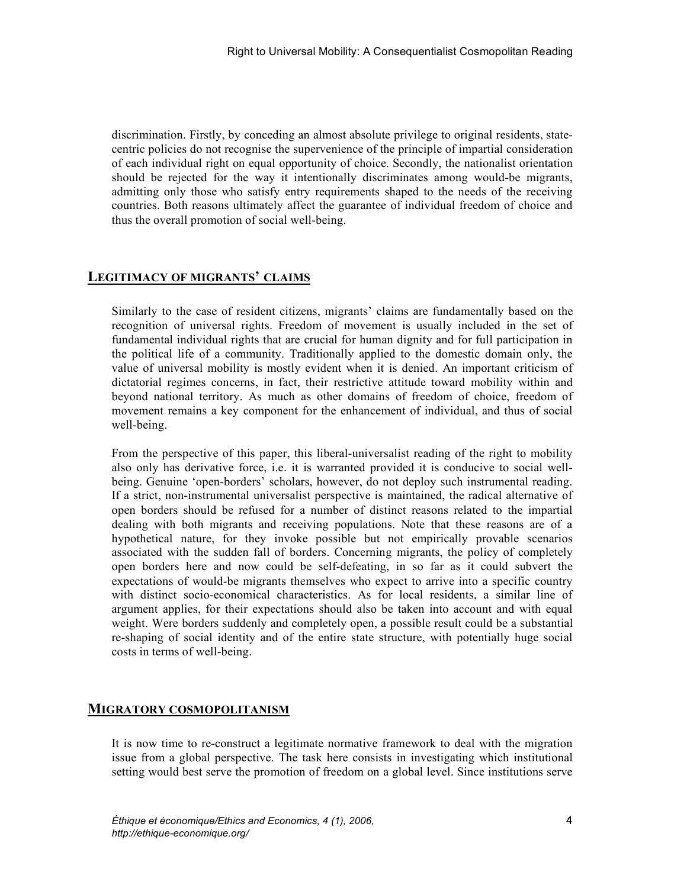centric policies do not recognise the supervenience of the principle of impartial consideration of each individual right on equal opportunity of choice. Secondly, the nationalist orientation should be rejected for the way it intentionally discriminates among would-be migrants, admitting only those who satisfy entry requirements shaped to the needs of the receiving countries. Both reasons ultimately affect the guarantee of individual freedom of choice and thus the overall promotion of social well-being.

### **LEGITIMACY OF MIGRANTS' CLAIMS**

Similarly to the case of resident citizens, migrants' claims are fundamentally based on the recognition of universal rights. Freedom of movement is usually included in the set of fundamental individual rights that are crucial for human dignity and for full participation in the political life of a community. Traditionally applied to the domestic domain only, the value of universal mobility is mostly evident when it is denied. An important criticism of dictatorial regimes concerns, in fact, their restrictive attitude toward mobility within and beyond national territory. As much as other domains of freedom of choice, freedom of movement remains a key component for the enhancement of individual, and thus of social well-being.

discrimination. Firstly, by conceding an almost absolute privilege to original residents, state-<br>dot each individual right on equal opportunity of choice. Secondly, the nationalis orientation<br>of each individual right on eq From the perspective of this paper, this liberal-universalist reading of the right to mobility also only has derivative force, i.e. it is warranted provided it is conducive to social wellbeing. Genuine 'open-borders' scholars, however, do not deploy such instrumental reading. If a strict, non-instrumental universalist perspective is maintained, the radical alternative of open borders should be refused for a number of distinct reasons related to the impartial dealing with both migrants and receiving populations. Note that these reasons are of a hypothetical nature, for they invoke possible but not empirically provable scenarios associated with the sudden fall of borders. Concerning migrants, the policy of completely open borders here and now could be self-defeating, in so far as it could subvert the expectations of would-be migrants themselves who expect to arrive into a specific country with distinct socio-economical characteristics. As for local residents, a similar line of argument applies, for their expectations should also be taken into account and with equal weight. Were borders suddenly and completely open, a possible result could be a substantial re-shaping of social identity and of the entire state structure, with potentially huge social costs in terms of well-being.

#### **MIGRATORY COSMOPOLITANISM**

It is now time to re-construct a legitimate normative framework to deal with the migration issue from a global perspective. The task here consists in investigating which institutional setting would best serve the promotion of freedom on a global level. Since institutions serve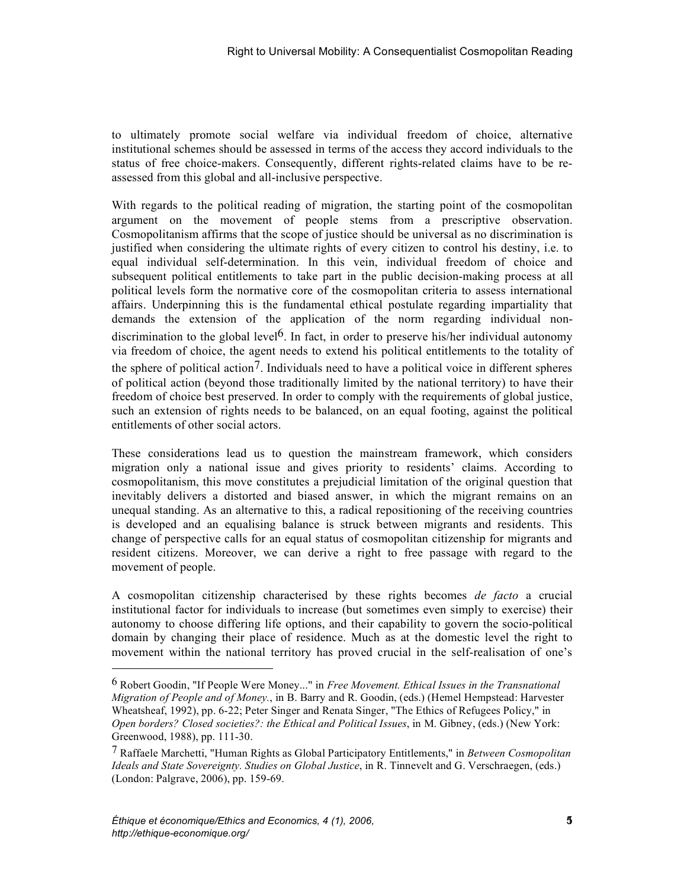institutional schemes should be assessed in terms of the access they accord individuals to the status of free choice-makers. Consequently, different rights-related claims have to be reassessed from this global and all-inclusive perspective.

In ultimately promote social welfare via individual freedom of choice, alternative and the system of choice, alternative social welfare in the system of choice and the consequent of the choice of choice of choice and the With regards to the political reading of migration, the starting point of the cosmopolitan argument on the movement of people stems from a prescriptive observation. Cosmopolitanism affirms that the scope of justice should be universal as no discrimination is justified when considering the ultimate rights of every citizen to control his destiny, i.e. to equal individual self-determination. In this vein, individual freedom of choice and subsequent political entitlements to take part in the public decision-making process at all political levels form the normative core of the cosmopolitan criteria to assess international affairs. Underpinning this is the fundamental ethical postulate regarding impartiality that demands the extension of the application of the norm regarding individual nondiscrimination to the global level<sup>6</sup>. In fact, in order to preserve his/her individual autonomy via freedom of choice, the agent needs to extend his political entitlements to the totality of the sphere of political action<sup>7</sup>. Individuals need to have a political voice in different spheres of political action (beyond those traditionally limited by the national territory) to have their freedom of choice best preserved. In order to comply with the requirements of global justice, such an extension of rights needs to be balanced, on an equal footing, against the political entitlements of other social actors.

These considerations lead us to question the mainstream framework, which considers migration only a national issue and gives priority to residents' claims. According to cosmopolitanism, this move constitutes a prejudicial limitation of the original question that inevitably delivers a distorted and biased answer, in which the migrant remains on an unequal standing. As an alternative to this, a radical repositioning of the receiving countries is developed and an equalising balance is struck between migrants and residents. This change of perspective calls for an equal status of cosmopolitan citizenship for migrants and resident citizens. Moreover, we can derive a right to free passage with regard to the movement of people.

A cosmopolitan citizenship characterised by these rights becomes *de facto* a crucial institutional factor for individuals to increase (but sometimes even simply to exercise) their autonomy to choose differing life options, and their capability to govern the socio-political domain by changing their place of residence. Much as at the domestic level the right to movement within the national territory has proved crucial in the self-realisation of one's

l

<sup>6</sup> Robert Goodin, "If People Were Money..." in *Free Movement. Ethical Issues in the Transnational Migration of People and of Money.*, in B. Barry and R. Goodin, (eds.) (Hemel Hempstead: Harvester Wheatsheaf, 1992), pp. 6-22; Peter Singer and Renata Singer, "The Ethics of Refugees Policy," in *Open borders? Closed societies?: the Ethical and Political Issues*, in M. Gibney, (eds.) (New York: Greenwood, 1988), pp. 111-30.

<sup>7</sup> Raffaele Marchetti, "Human Rights as Global Participatory Entitlements," in *Between Cosmopolitan Ideals and State Sovereignty. Studies on Global Justice*, in R. Tinnevelt and G. Verschraegen, (eds.) (London: Palgrave, 2006), pp. 159-69.